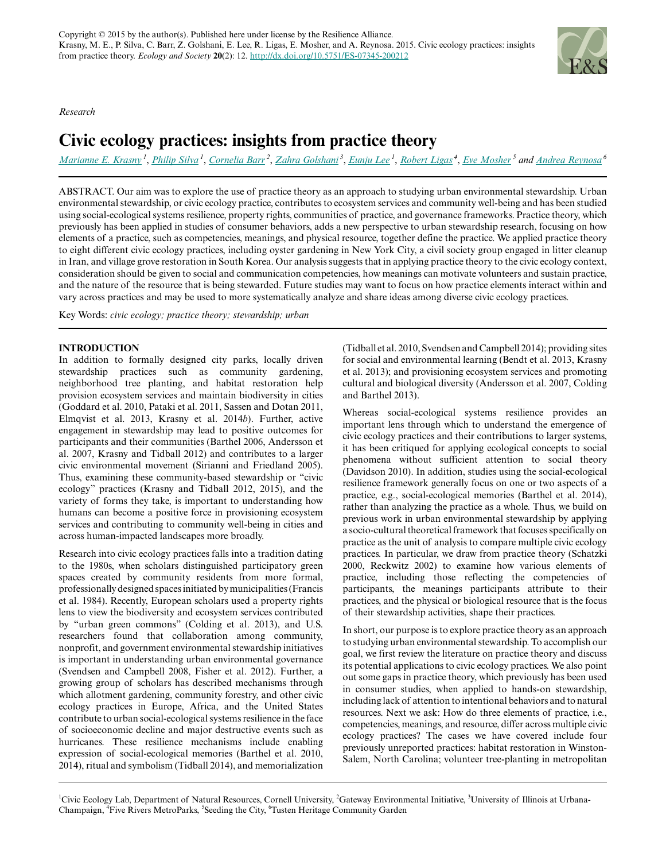*Research*

# **Civic ecology practices: insights from practice theory**

[Marianne E. Krasny](mailto:mek2@cornell.edu) <sup>1</sup>, [Philip Silva](mailto:philip.silva@gmail.com) <sup>1</sup>, [Cornelia Barr](mailto:cbdub@me.com)<sup>2</sup>, [Zahra Golshani](mailto:golshani@gmail. com)<sup>3</sup>, [Eunju Lee](mailto:el372@cornell.edu) <sup>1</sup>, [Robert Ligas](mailto:rligas2@yahoo.com) <sup>4</sup>, [Eve Mosher](mailto:eve@evemosher.com) <sup>5</sup> and [Andrea Reynosa](mailto:areynosa@skydogprojects.com) <sup>6</sup>

ABSTRACT. Our aim was to explore the use of practice theory as an approach to studying urban environmental stewardship. Urban environmental stewardship, or civic ecology practice, contributes to ecosystem services and community well-being and has been studied using social-ecological systems resilience, property rights, communities of practice, and governance frameworks. Practice theory, which previously has been applied in studies of consumer behaviors, adds a new perspective to urban stewardship research, focusing on how elements of a practice, such as competencies, meanings, and physical resource, together define the practice. We applied practice theory to eight different civic ecology practices, including oyster gardening in New York City, a civil society group engaged in litter cleanup in Iran, and village grove restoration in South Korea. Our analysis suggests that in applying practice theory to the civic ecology context, consideration should be given to social and communication competencies, how meanings can motivate volunteers and sustain practice, and the nature of the resource that is being stewarded. Future studies may want to focus on how practice elements interact within and vary across practices and may be used to more systematically analyze and share ideas among diverse civic ecology practices.

Key Words: *civic ecology; practice theory; stewardship; urban*

# **INTRODUCTION**

In addition to formally designed city parks, locally driven stewardship practices such as community gardening, neighborhood tree planting, and habitat restoration help provision ecosystem services and maintain biodiversity in cities (Goddard et al. 2010, Pataki et al. 2011, Sassen and Dotan 2011, Elmqvist et al. 2013, Krasny et al. 2014*b*). Further, active engagement in stewardship may lead to positive outcomes for participants and their communities (Barthel 2006, Andersson et al. 2007, Krasny and Tidball 2012) and contributes to a larger civic environmental movement (Sirianni and Friedland 2005). Thus, examining these community-based stewardship or "civic ecology" practices (Krasny and Tidball 2012, 2015), and the variety of forms they take, is important to understanding how humans can become a positive force in provisioning ecosystem services and contributing to community well-being in cities and across human-impacted landscapes more broadly.

Research into civic ecology practices falls into a tradition dating to the 1980s, when scholars distinguished participatory green spaces created by community residents from more formal, professionally designed spaces initiated by municipalities (Francis et al. 1984). Recently, European scholars used a property rights lens to view the biodiversity and ecosystem services contributed by "urban green commons" (Colding et al. 2013), and U.S. researchers found that collaboration among community, nonprofit, and government environmental stewardship initiatives is important in understanding urban environmental governance (Svendsen and Campbell 2008, Fisher et al. 2012). Further, a growing group of scholars has described mechanisms through which allotment gardening, community forestry, and other civic ecology practices in Europe, Africa, and the United States contribute to urban social-ecological systems resilience in the face of socioeconomic decline and major destructive events such as hurricanes. These resilience mechanisms include enabling expression of social-ecological memories (Barthel et al. 2010, 2014), ritual and symbolism (Tidball 2014), and memorialization

(Tidball et al. 2010, Svendsen and Campbell 2014); providing sites for social and environmental learning (Bendt et al. 2013, Krasny et al. 2013); and provisioning ecosystem services and promoting cultural and biological diversity (Andersson et al. 2007, Colding and Barthel 2013).

Whereas social-ecological systems resilience provides an important lens through which to understand the emergence of civic ecology practices and their contributions to larger systems, it has been critiqued for applying ecological concepts to social phenomena without sufficient attention to social theory (Davidson 2010). In addition, studies using the social-ecological resilience framework generally focus on one or two aspects of a practice, e.g., social-ecological memories (Barthel et al. 2014), rather than analyzing the practice as a whole. Thus, we build on previous work in urban environmental stewardship by applying a socio-cultural theoretical framework that focuses specifically on practice as the unit of analysis to compare multiple civic ecology practices. In particular, we draw from practice theory (Schatzki 2000, Reckwitz 2002) to examine how various elements of practice, including those reflecting the competencies of participants, the meanings participants attribute to their practices, and the physical or biological resource that is the focus of their stewardship activities, shape their practices.

In short, our purpose is to explore practice theory as an approach to studying urban environmental stewardship. To accomplish our goal, we first review the literature on practice theory and discuss its potential applications to civic ecology practices. We also point out some gaps in practice theory, which previously has been used in consumer studies, when applied to hands-on stewardship, including lack of attention to intentional behaviors and to natural resources. Next we ask: How do three elements of practice, i.e., competencies, meanings, and resource, differ across multiple civic ecology practices? The cases we have covered include four previously unreported practices: habitat restoration in Winston-Salem, North Carolina; volunteer tree-planting in metropolitan

<sup>1</sup>Civic Ecology Lab, Department of Natural Resources, Cornell University, <sup>2</sup>Gateway Environmental Initiative, <sup>3</sup>University of Illinois at Urbana-Champaign, <sup>4</sup>Five Rivers MetroParks, <sup>5</sup>Seeding the City, <sup>6</sup>Tusten Heritage Community Garden

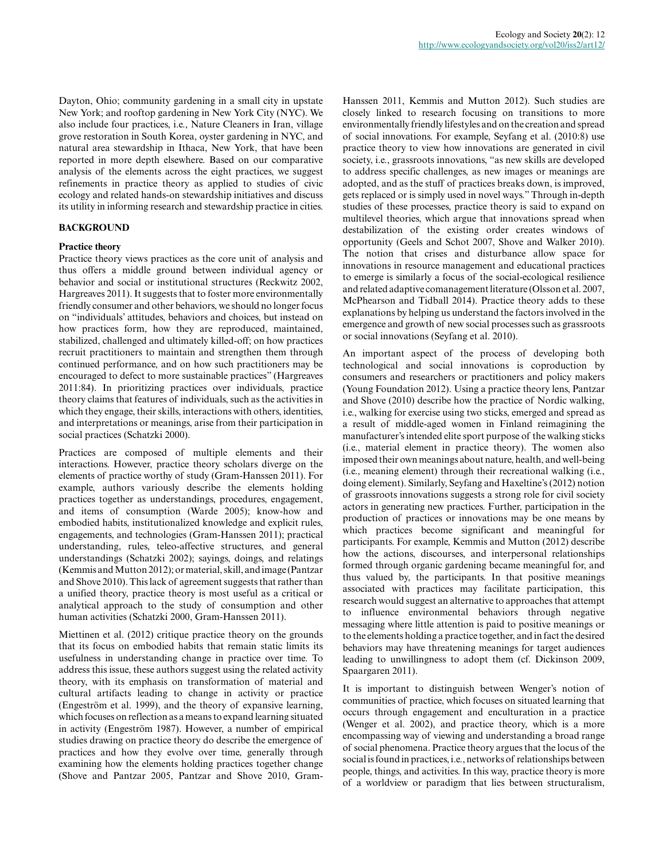Dayton, Ohio; community gardening in a small city in upstate New York; and rooftop gardening in New York City (NYC). We also include four practices, i.e., Nature Cleaners in Iran, village grove restoration in South Korea, oyster gardening in NYC, and natural area stewardship in Ithaca, New York, that have been reported in more depth elsewhere. Based on our comparative analysis of the elements across the eight practices, we suggest refinements in practice theory as applied to studies of civic ecology and related hands-on stewardship initiatives and discuss its utility in informing research and stewardship practice in cities.

# **BACKGROUND**

# **Practice theory**

Practice theory views practices as the core unit of analysis and thus offers a middle ground between individual agency or behavior and social or institutional structures (Reckwitz 2002, Hargreaves 2011). It suggests that to foster more environmentally friendly consumer and other behaviors, we should no longer focus on "individuals' attitudes, behaviors and choices, but instead on how practices form, how they are reproduced, maintained, stabilized, challenged and ultimately killed-off; on how practices recruit practitioners to maintain and strengthen them through continued performance, and on how such practitioners may be encouraged to defect to more sustainable practices" (Hargreaves 2011:84). In prioritizing practices over individuals, practice theory claims that features of individuals, such as the activities in which they engage, their skills, interactions with others, identities, and interpretations or meanings, arise from their participation in social practices (Schatzki 2000).

Practices are composed of multiple elements and their interactions. However, practice theory scholars diverge on the elements of practice worthy of study (Gram-Hanssen 2011). For example, authors variously describe the elements holding practices together as understandings, procedures, engagement, and items of consumption (Warde 2005); know-how and embodied habits, institutionalized knowledge and explicit rules, engagements, and technologies (Gram-Hanssen 2011); practical understanding, rules, teleo-affective structures, and general understandings (Schatzki 2002); sayings, doings, and relatings (Kemmis and Mutton 2012); or material, skill, and image (Pantzar and Shove 2010). This lack of agreement suggests that rather than a unified theory, practice theory is most useful as a critical or analytical approach to the study of consumption and other human activities (Schatzki 2000, Gram-Hanssen 2011).

Miettinen et al. (2012) critique practice theory on the grounds that its focus on embodied habits that remain static limits its usefulness in understanding change in practice over time. To address this issue, these authors suggest using the related activity theory, with its emphasis on transformation of material and cultural artifacts leading to change in activity or practice (Engeström et al. 1999), and the theory of expansive learning, which focuses on reflection as a means to expand learning situated in activity (Engeström 1987). However, a number of empirical studies drawing on practice theory do describe the emergence of practices and how they evolve over time, generally through examining how the elements holding practices together change (Shove and Pantzar 2005, Pantzar and Shove 2010, GramHanssen 2011, Kemmis and Mutton 2012). Such studies are closely linked to research focusing on transitions to more environmentally friendly lifestyles and on the creation and spread of social innovations. For example, Seyfang et al. (2010:8) use practice theory to view how innovations are generated in civil society, i.e., grassroots innovations, "as new skills are developed to address specific challenges, as new images or meanings are adopted, and as the stuff of practices breaks down, is improved, gets replaced or is simply used in novel ways." Through in-depth studies of these processes, practice theory is said to expand on multilevel theories, which argue that innovations spread when destabilization of the existing order creates windows of opportunity (Geels and Schot 2007, Shove and Walker 2010). The notion that crises and disturbance allow space for innovations in resource management and educational practices to emerge is similarly a focus of the social-ecological resilience and related adaptive comanagement literature (Olsson et al. 2007, McPhearson and Tidball 2014). Practice theory adds to these explanations by helping us understand the factors involved in the emergence and growth of new social processes such as grassroots or social innovations (Seyfang et al. 2010).

An important aspect of the process of developing both technological and social innovations is coproduction by consumers and researchers or practitioners and policy makers (Young Foundation 2012). Using a practice theory lens, Pantzar and Shove (2010) describe how the practice of Nordic walking, i.e., walking for exercise using two sticks, emerged and spread as a result of middle-aged women in Finland reimagining the manufacturer's intended elite sport purpose of the walking sticks (i.e., material element in practice theory). The women also imposed their own meanings about nature, health, and well-being (i.e., meaning element) through their recreational walking (i.e., doing element). Similarly, Seyfang and Haxeltine's (2012) notion of grassroots innovations suggests a strong role for civil society actors in generating new practices. Further, participation in the production of practices or innovations may be one means by which practices become significant and meaningful for participants. For example, Kemmis and Mutton (2012) describe how the actions, discourses, and interpersonal relationships formed through organic gardening became meaningful for, and thus valued by, the participants. In that positive meanings associated with practices may facilitate participation, this research would suggest an alternative to approaches that attempt to influence environmental behaviors through negative messaging where little attention is paid to positive meanings or to the elements holding a practice together, and in fact the desired behaviors may have threatening meanings for target audiences leading to unwillingness to adopt them (cf. Dickinson 2009, Spaargaren 2011).

It is important to distinguish between Wenger's notion of communities of practice, which focuses on situated learning that occurs through engagement and enculturation in a practice (Wenger et al. 2002), and practice theory, which is a more encompassing way of viewing and understanding a broad range of social phenomena. Practice theory argues that the locus of the social is found in practices, i.e., networks of relationships between people, things, and activities. In this way, practice theory is more of a worldview or paradigm that lies between structuralism,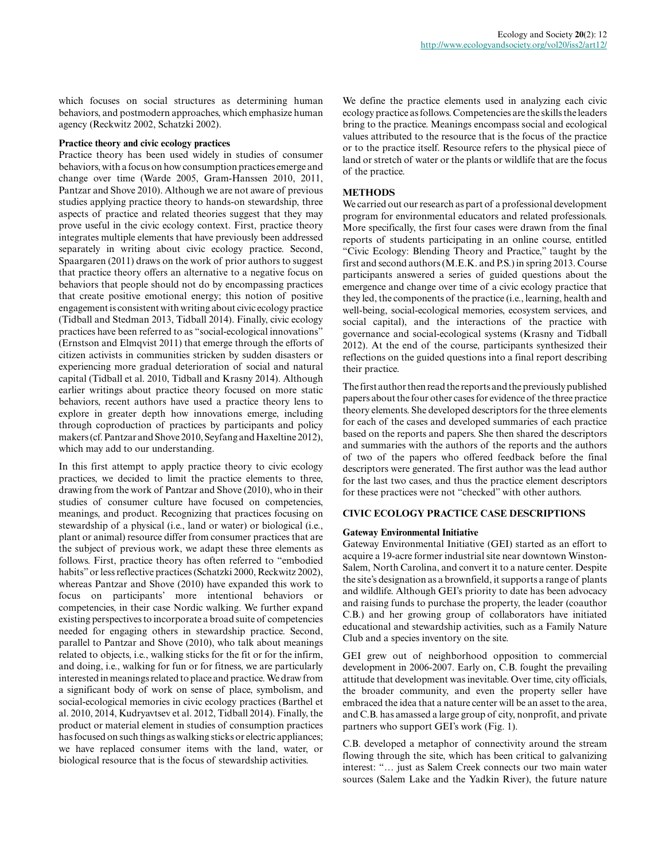which focuses on social structures as determining human behaviors, and postmodern approaches, which emphasize human agency (Reckwitz 2002, Schatzki 2002).

## **Practice theory and civic ecology practices**

Practice theory has been used widely in studies of consumer behaviors, with a focus on how consumption practices emerge and change over time (Warde 2005, Gram-Hanssen 2010, 2011, Pantzar and Shove 2010). Although we are not aware of previous studies applying practice theory to hands-on stewardship, three aspects of practice and related theories suggest that they may prove useful in the civic ecology context. First, practice theory integrates multiple elements that have previously been addressed separately in writing about civic ecology practice. Second, Spaargaren (2011) draws on the work of prior authors to suggest that practice theory offers an alternative to a negative focus on behaviors that people should not do by encompassing practices that create positive emotional energy; this notion of positive engagement is consistent with writing about civic ecology practice (Tidball and Stedman 2013, Tidball 2014). Finally, civic ecology practices have been referred to as "social-ecological innovations" (Ernstson and Elmqvist 2011) that emerge through the efforts of citizen activists in communities stricken by sudden disasters or experiencing more gradual deterioration of social and natural capital (Tidball et al. 2010, Tidball and Krasny 2014). Although earlier writings about practice theory focused on more static behaviors, recent authors have used a practice theory lens to explore in greater depth how innovations emerge, including through coproduction of practices by participants and policy makers (cf. Pantzar and Shove 2010, Seyfang and Haxeltine 2012), which may add to our understanding.

In this first attempt to apply practice theory to civic ecology practices, we decided to limit the practice elements to three, drawing from the work of Pantzar and Shove (2010), who in their studies of consumer culture have focused on competencies, meanings, and product. Recognizing that practices focusing on stewardship of a physical (i.e., land or water) or biological (i.e., plant or animal) resource differ from consumer practices that are the subject of previous work, we adapt these three elements as follows. First, practice theory has often referred to "embodied habits" or less reflective practices (Schatzki 2000, Reckwitz 2002), whereas Pantzar and Shove (2010) have expanded this work to focus on participants' more intentional behaviors or competencies, in their case Nordic walking. We further expand existing perspectives to incorporate a broad suite of competencies needed for engaging others in stewardship practice. Second, parallel to Pantzar and Shove (2010), who talk about meanings related to objects, i.e., walking sticks for the fit or for the infirm, and doing, i.e., walking for fun or for fitness, we are particularly interested in meanings related to place and practice. We draw from a significant body of work on sense of place, symbolism, and social-ecological memories in civic ecology practices (Barthel et al. 2010, 2014, Kudryavtsev et al. 2012, Tidball 2014). Finally, the product or material element in studies of consumption practices has focused on such things as walking sticks or electric appliances; we have replaced consumer items with the land, water, or biological resource that is the focus of stewardship activities.

We define the practice elements used in analyzing each civic ecology practice as follows. Competencies are the skills the leaders bring to the practice. Meanings encompass social and ecological values attributed to the resource that is the focus of the practice or to the practice itself. Resource refers to the physical piece of land or stretch of water or the plants or wildlife that are the focus of the practice.

# **METHODS**

We carried out our research as part of a professional development program for environmental educators and related professionals. More specifically, the first four cases were drawn from the final reports of students participating in an online course, entitled "Civic Ecology: Blending Theory and Practice," taught by the first and second authors (M.E.K. and P.S.) in spring 2013. Course participants answered a series of guided questions about the emergence and change over time of a civic ecology practice that they led, the components of the practice (i.e., learning, health and well-being, social-ecological memories, ecosystem services, and social capital), and the interactions of the practice with governance and social-ecological systems (Krasny and Tidball 2012). At the end of the course, participants synthesized their reflections on the guided questions into a final report describing their practice.

The first author then read the reports and the previously published papers about the four other cases for evidence of the three practice theory elements. She developed descriptors for the three elements for each of the cases and developed summaries of each practice based on the reports and papers. She then shared the descriptors and summaries with the authors of the reports and the authors of two of the papers who offered feedback before the final descriptors were generated. The first author was the lead author for the last two cases, and thus the practice element descriptors for these practices were not "checked" with other authors.

## **CIVIC ECOLOGY PRACTICE CASE DESCRIPTIONS**

#### **Gateway Environmental Initiative**

Gateway Environmental Initiative (GEI) started as an effort to acquire a 19-acre former industrial site near downtown Winston-Salem, North Carolina, and convert it to a nature center. Despite the site's designation as a brownfield, it supports a range of plants and wildlife. Although GEI's priority to date has been advocacy and raising funds to purchase the property, the leader (coauthor C.B.) and her growing group of collaborators have initiated educational and stewardship activities, such as a Family Nature Club and a species inventory on the site.

GEI grew out of neighborhood opposition to commercial development in 2006-2007. Early on, C.B. fought the prevailing attitude that development was inevitable. Over time, city officials, the broader community, and even the property seller have embraced the idea that a nature center will be an asset to the area, and C.B. has amassed a large group of city, nonprofit, and private partners who support GEI's work (Fig. 1).

C.B. developed a metaphor of connectivity around the stream flowing through the site, which has been critical to galvanizing interest: "… just as Salem Creek connects our two main water sources (Salem Lake and the Yadkin River), the future nature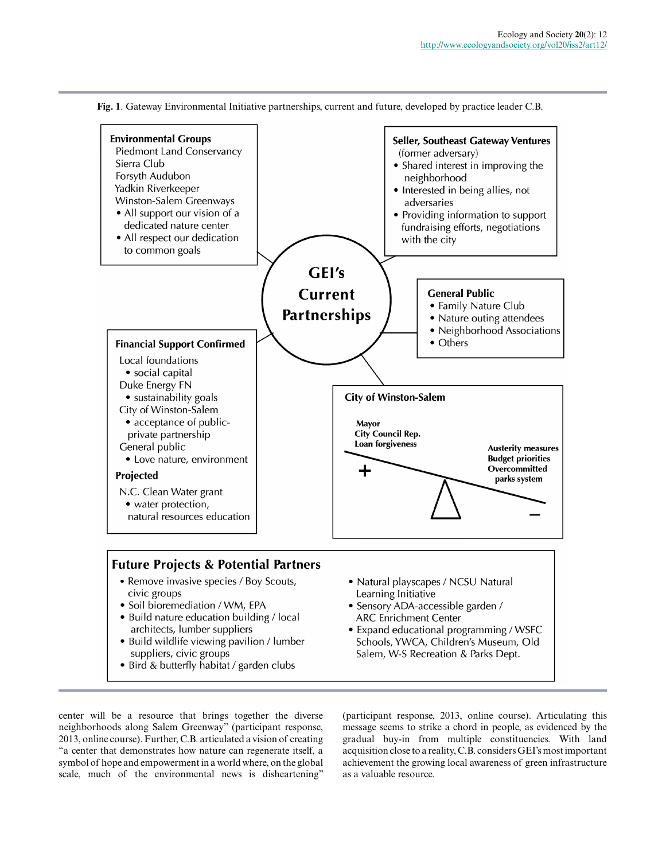

**Fig. 1**. Gateway Environmental Initiative partnerships, current and future, developed by practice leader C.B.

# civic groups

- · Soil bioremediation / WM, EPA
- Build nature education building / local architects, lumber suppliers
- Build wildlife viewing pavilion / lumber suppliers, civic groups
- Bird & butterfly habitat / garden clubs
- Learning Initiative
- Sensory ADA-accessible garden / **ARC Enrichment Center**
- Expand educational programming / WSFC Schools, YWCA, Children's Museum, Old Salem, W-S Recreation & Parks Dept.

center will be a resource that brings together the diverse neighborhoods along Salem Greenway" (participant response, 2013, online course). Further, C.B. articulated a vision of creating "a center that demonstrates how nature can regenerate itself, a symbol of hope and empowerment in a world where, on the global scale, much of the environmental news is disheartening"

(participant response, 2013, online course). Articulating this message seems to strike a chord in people, as evidenced by the gradual buy-in from multiple constituencies. With land acquisition close to a reality, C.B. considers GEI's most important achievement the growing local awareness of green infrastructure as a valuable resource.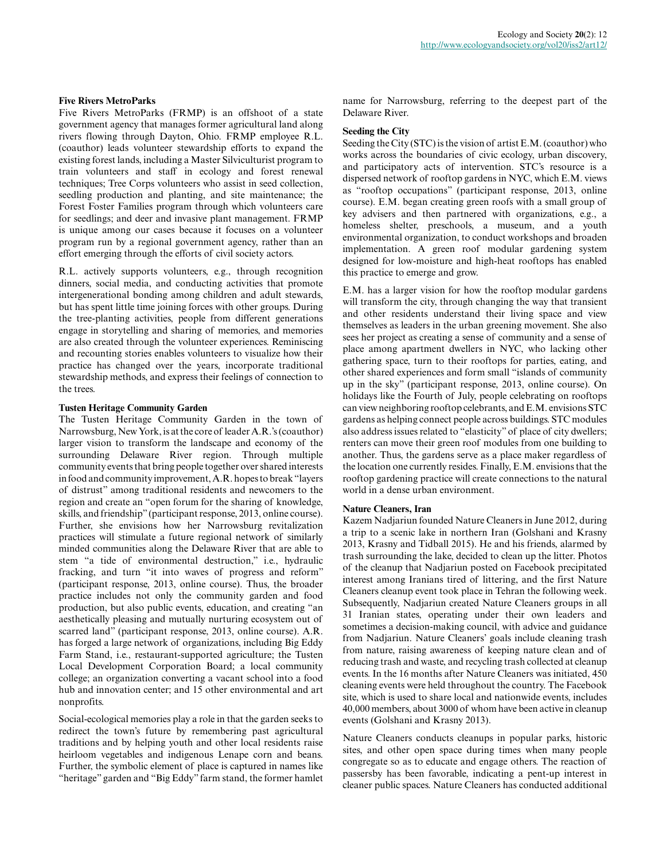## **Five Rivers MetroParks**

Five Rivers MetroParks (FRMP) is an offshoot of a state government agency that manages former agricultural land along rivers flowing through Dayton, Ohio. FRMP employee R.L. (coauthor) leads volunteer stewardship efforts to expand the existing forest lands, including a Master Silviculturist program to train volunteers and staff in ecology and forest renewal techniques; Tree Corps volunteers who assist in seed collection, seedling production and planting, and site maintenance; the Forest Foster Families program through which volunteers care for seedlings; and deer and invasive plant management. FRMP is unique among our cases because it focuses on a volunteer program run by a regional government agency, rather than an effort emerging through the efforts of civil society actors.

R.L. actively supports volunteers, e.g., through recognition dinners, social media, and conducting activities that promote intergenerational bonding among children and adult stewards, but has spent little time joining forces with other groups. During the tree-planting activities, people from different generations engage in storytelling and sharing of memories, and memories are also created through the volunteer experiences. Reminiscing and recounting stories enables volunteers to visualize how their practice has changed over the years, incorporate traditional stewardship methods, and express their feelings of connection to the trees.

# **Tusten Heritage Community Garden**

The Tusten Heritage Community Garden in the town of Narrowsburg, New York, is at the core of leader A.R.'s (coauthor) larger vision to transform the landscape and economy of the surrounding Delaware River region. Through multiple community events that bring people together over shared interests in food and community improvement, A.R. hopes to break "layers of distrust" among traditional residents and newcomers to the region and create an "open forum for the sharing of knowledge, skills, and friendship" (participant response, 2013, online course). Further, she envisions how her Narrowsburg revitalization practices will stimulate a future regional network of similarly minded communities along the Delaware River that are able to stem "a tide of environmental destruction," i.e., hydraulic fracking, and turn "it into waves of progress and reform" (participant response, 2013, online course). Thus, the broader practice includes not only the community garden and food production, but also public events, education, and creating "an aesthetically pleasing and mutually nurturing ecosystem out of scarred land" (participant response, 2013, online course). A.R. has forged a large network of organizations, including Big Eddy Farm Stand, i.e., restaurant-supported agriculture; the Tusten Local Development Corporation Board; a local community college; an organization converting a vacant school into a food hub and innovation center; and 15 other environmental and art nonprofits.

Social-ecological memories play a role in that the garden seeks to redirect the town's future by remembering past agricultural traditions and by helping youth and other local residents raise heirloom vegetables and indigenous Lenape corn and beans. Further, the symbolic element of place is captured in names like "heritage" garden and "Big Eddy" farm stand, the former hamlet name for Narrowsburg, referring to the deepest part of the Delaware River.

#### **Seeding the City**

Seeding the City (STC) is the vision of artist E.M. (coauthor) who works across the boundaries of civic ecology, urban discovery, and participatory acts of intervention. STC's resource is a dispersed network of rooftop gardens in NYC, which E.M. views as "rooftop occupations" (participant response, 2013, online course). E.M. began creating green roofs with a small group of key advisers and then partnered with organizations, e.g., a homeless shelter, preschools, a museum, and a youth environmental organization, to conduct workshops and broaden implementation. A green roof modular gardening system designed for low-moisture and high-heat rooftops has enabled this practice to emerge and grow.

E.M. has a larger vision for how the rooftop modular gardens will transform the city, through changing the way that transient and other residents understand their living space and view themselves as leaders in the urban greening movement. She also sees her project as creating a sense of community and a sense of place among apartment dwellers in NYC, who lacking other gathering space, turn to their rooftops for parties, eating, and other shared experiences and form small "islands of community up in the sky" (participant response, 2013, online course). On holidays like the Fourth of July, people celebrating on rooftops can view neighboring rooftop celebrants, and E.M. envisions STC gardens as helping connect people across buildings. STC modules also address issues related to "elasticity" of place of city dwellers; renters can move their green roof modules from one building to another. Thus, the gardens serve as a place maker regardless of the location one currently resides. Finally, E.M. envisions that the rooftop gardening practice will create connections to the natural world in a dense urban environment.

### **Nature Cleaners, Iran**

Kazem Nadjariun founded Nature Cleaners in June 2012, during a trip to a scenic lake in northern Iran (Golshani and Krasny 2013, Krasny and Tidball 2015). He and his friends, alarmed by trash surrounding the lake, decided to clean up the litter. Photos of the cleanup that Nadjariun posted on Facebook precipitated interest among Iranians tired of littering, and the first Nature Cleaners cleanup event took place in Tehran the following week. Subsequently, Nadjariun created Nature Cleaners groups in all 31 Iranian states, operating under their own leaders and sometimes a decision-making council, with advice and guidance from Nadjariun. Nature Cleaners' goals include cleaning trash from nature, raising awareness of keeping nature clean and of reducing trash and waste, and recycling trash collected at cleanup events. In the 16 months after Nature Cleaners was initiated, 450 cleaning events were held throughout the country. The Facebook site, which is used to share local and nationwide events, includes 40,000 members, about 3000 of whom have been active in cleanup events (Golshani and Krasny 2013).

Nature Cleaners conducts cleanups in popular parks, historic sites, and other open space during times when many people congregate so as to educate and engage others. The reaction of passersby has been favorable, indicating a pent-up interest in cleaner public spaces. Nature Cleaners has conducted additional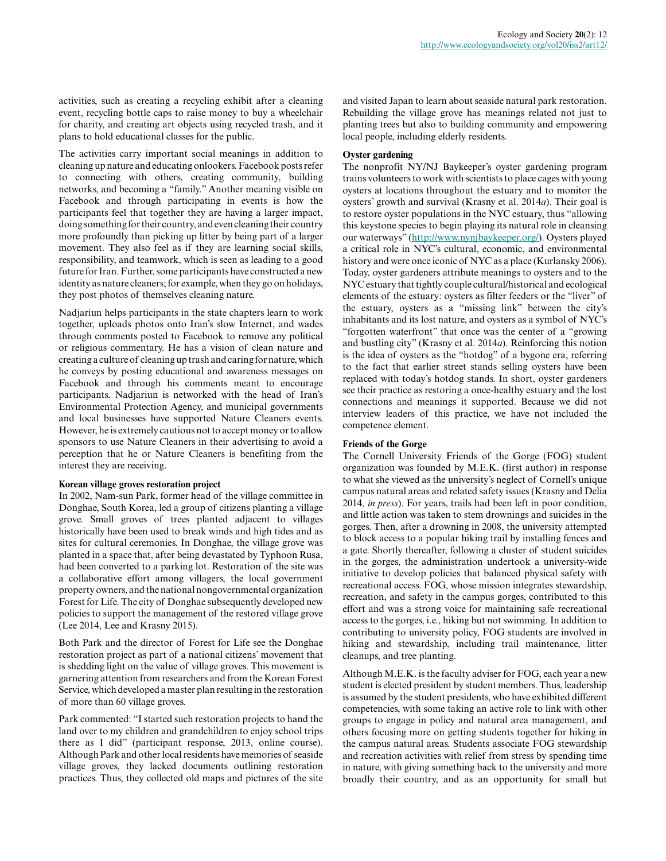activities, such as creating a recycling exhibit after a cleaning event, recycling bottle caps to raise money to buy a wheelchair for charity, and creating art objects using recycled trash, and it plans to hold educational classes for the public.

The activities carry important social meanings in addition to cleaning up nature and educating onlookers. Facebook posts refer to connecting with others, creating community, building networks, and becoming a "family." Another meaning visible on Facebook and through participating in events is how the participants feel that together they are having a larger impact, doing something for their country, and even cleaning their country more profoundly than picking up litter by being part of a larger movement. They also feel as if they are learning social skills, responsibility, and teamwork, which is seen as leading to a good future for Iran. Further, some participants have constructed a new identity as nature cleaners; for example, when they go on holidays, they post photos of themselves cleaning nature.

Nadjariun helps participants in the state chapters learn to work together, uploads photos onto Iran's slow Internet, and wades through comments posted to Facebook to remove any political or religious commentary. He has a vision of clean nature and creating a culture of cleaning up trash and caring for nature, which he conveys by posting educational and awareness messages on Facebook and through his comments meant to encourage participants. Nadjariun is networked with the head of Iran's Environmental Protection Agency, and municipal governments and local businesses have supported Nature Cleaners events. However, he is extremely cautious not to accept money or to allow sponsors to use Nature Cleaners in their advertising to avoid a perception that he or Nature Cleaners is benefiting from the interest they are receiving.

# **Korean village groves restoration project**

In 2002, Nam-sun Park, former head of the village committee in Donghae, South Korea, led a group of citizens planting a village grove. Small groves of trees planted adjacent to villages historically have been used to break winds and high tides and as sites for cultural ceremonies. In Donghae, the village grove was planted in a space that, after being devastated by Typhoon Rusa, had been converted to a parking lot. Restoration of the site was a collaborative effort among villagers, the local government property owners, and the national nongovernmental organization Forest for Life. The city of Donghae subsequently developed new policies to support the management of the restored village grove (Lee 2014, Lee and Krasny 2015).

Both Park and the director of Forest for Life see the Donghae restoration project as part of a national citizens' movement that is shedding light on the value of village groves. This movement is garnering attention from researchers and from the Korean Forest Service, which developed a master plan resulting in the restoration of more than 60 village groves.

Park commented: "I started such restoration projects to hand the land over to my children and grandchildren to enjoy school trips there as I did" (participant response, 2013, online course). Although Park and other local residents have memories of seaside village groves, they lacked documents outlining restoration practices. Thus, they collected old maps and pictures of the site and visited Japan to learn about seaside natural park restoration. Rebuilding the village grove has meanings related not just to planting trees but also to building community and empowering local people, including elderly residents.

#### **Oyster gardening**

The nonprofit NY/NJ Baykeeper's oyster gardening program trains volunteers to work with scientists to place cages with young oysters at locations throughout the estuary and to monitor the oysters' growth and survival (Krasny et al. 2014*a*). Their goal is to restore oyster populations in the NYC estuary, thus "allowing this keystone species to begin playing its natural role in cleansing our waterways" (<http://www.nynjbaykeeper.org/>). Oysters played a critical role in NYC's cultural, economic, and environmental history and were once iconic of NYC as a place (Kurlansky 2006). Today, oyster gardeners attribute meanings to oysters and to the NYC estuary that tightly couple cultural/historical and ecological elements of the estuary: oysters as filter feeders or the "liver" of the estuary, oysters as a "missing link" between the city's inhabitants and its lost nature, and oysters as a symbol of NYC's "forgotten waterfront" that once was the center of a "growing and bustling city" (Krasny et al. 2014*a*). Reinforcing this notion is the idea of oysters as the "hotdog" of a bygone era, referring to the fact that earlier street stands selling oysters have been replaced with today's hotdog stands. In short, oyster gardeners see their practice as restoring a once-healthy estuary and the lost connections and meanings it supported. Because we did not interview leaders of this practice, we have not included the competence element.

#### **Friends of the Gorge**

The Cornell University Friends of the Gorge (FOG) student organization was founded by M.E.K. (first author) in response to what she viewed as the university's neglect of Cornell's unique campus natural areas and related safety issues (Krasny and Delia 2014, *in press*). For years, trails had been left in poor condition, and little action was taken to stem drownings and suicides in the gorges. Then, after a drowning in 2008, the university attempted to block access to a popular hiking trail by installing fences and a gate. Shortly thereafter, following a cluster of student suicides in the gorges, the administration undertook a university-wide initiative to develop policies that balanced physical safety with recreational access. FOG, whose mission integrates stewardship, recreation, and safety in the campus gorges, contributed to this effort and was a strong voice for maintaining safe recreational access to the gorges, i.e., hiking but not swimming. In addition to contributing to university policy, FOG students are involved in hiking and stewardship, including trail maintenance, litter cleanups, and tree planting.

Although M.E.K. is the faculty adviser for FOG, each year a new student is elected president by student members. Thus, leadership is assumed by the student presidents, who have exhibited different competencies, with some taking an active role to link with other groups to engage in policy and natural area management, and others focusing more on getting students together for hiking in the campus natural areas. Students associate FOG stewardship and recreation activities with relief from stress by spending time in nature, with giving something back to the university and more broadly their country, and as an opportunity for small but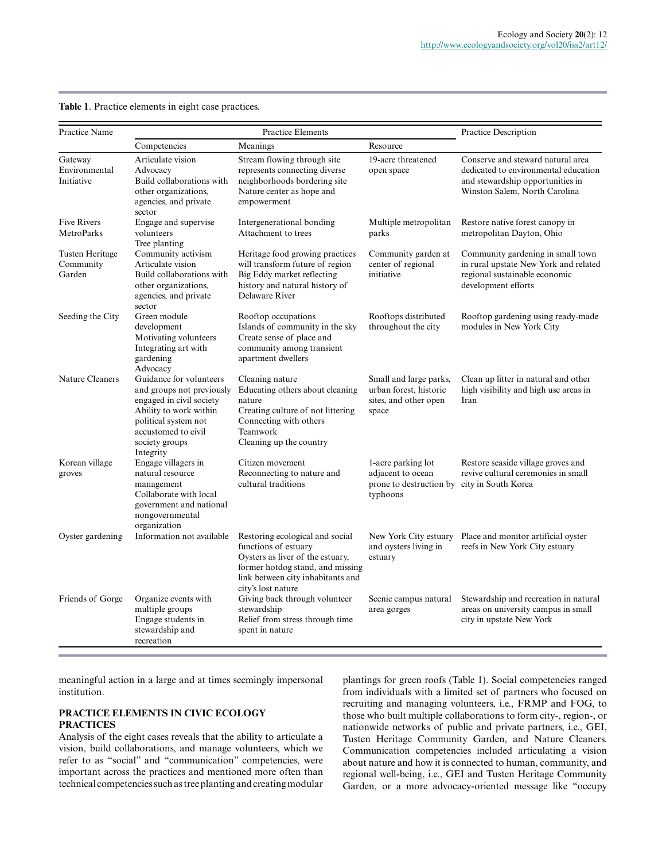#### **Table 1**. Practice elements in eight case practices.

| Practice Name                          | <b>Practice Elements</b>                                                                                                                                                                 |                                                                                                                                                                                            |                                                                                                    | Practice Description                                                                                                                           |
|----------------------------------------|------------------------------------------------------------------------------------------------------------------------------------------------------------------------------------------|--------------------------------------------------------------------------------------------------------------------------------------------------------------------------------------------|----------------------------------------------------------------------------------------------------|------------------------------------------------------------------------------------------------------------------------------------------------|
|                                        | Competencies                                                                                                                                                                             | Meanings                                                                                                                                                                                   | Resource                                                                                           |                                                                                                                                                |
| Gateway<br>Environmental<br>Initiative | Articulate vision<br>Advocacy<br>Build collaborations with<br>other organizations,<br>agencies, and private<br>sector                                                                    | Stream flowing through site<br>represents connecting diverse<br>neighborhoods bordering site<br>Nature center as hope and<br>empowerment                                                   | 19-acre threatened<br>open space                                                                   | Conserve and steward natural area<br>dedicated to environmental education<br>and stewardship opportunities in<br>Winston Salem, North Carolina |
| <b>Five Rivers</b><br>MetroParks       | Engage and supervise<br>volunteers<br>Tree planting                                                                                                                                      | Intergenerational bonding<br>Attachment to trees                                                                                                                                           | Multiple metropolitan<br>parks                                                                     | Restore native forest canopy in<br>metropolitan Dayton, Ohio                                                                                   |
| Tusten Heritage<br>Community<br>Garden | Community activism<br>Articulate vision<br>Build collaborations with<br>other organizations,<br>agencies, and private<br>sector                                                          | Heritage food growing practices<br>will transform future of region<br>Big Eddy market reflecting<br>history and natural history of<br>Delaware River                                       | Community garden at<br>center of regional<br>initiative                                            | Community gardening in small town<br>in rural upstate New York and related<br>regional sustainable economic<br>development efforts             |
| Seeding the City                       | Green module<br>development<br>Motivating volunteers<br>Integrating art with<br>gardening<br>Advocacy                                                                                    | Rooftop occupations<br>Islands of community in the sky<br>Create sense of place and<br>community among transient<br>apartment dwellers                                                     | Rooftops distributed<br>throughout the city                                                        | Rooftop gardening using ready-made<br>modules in New York City                                                                                 |
| <b>Nature Cleaners</b>                 | Guidance for volunteers<br>and groups not previously<br>engaged in civil society<br>Ability to work within<br>political system not<br>accustomed to civil<br>society groups<br>Integrity | Cleaning nature<br>Educating others about cleaning<br>nature<br>Creating culture of not littering<br>Connecting with others<br>Teamwork<br>Cleaning up the country                         | Small and large parks,<br>urban forest, historic<br>sites, and other open<br>space                 | Clean up litter in natural and other<br>high visibility and high use areas in<br>Iran                                                          |
| Korean village<br>groves               | Engage villagers in<br>natural resource<br>management<br>Collaborate with local<br>government and national<br>nongovernmental<br>organization                                            | Citizen movement<br>Reconnecting to nature and<br>cultural traditions                                                                                                                      | 1-acre parking lot<br>adjacent to ocean<br>prone to destruction by city in South Korea<br>typhoons | Restore seaside village groves and<br>revive cultural ceremonies in small                                                                      |
| Oyster gardening                       | Information not available                                                                                                                                                                | Restoring ecological and social<br>functions of estuary<br>Oysters as liver of the estuary,<br>former hotdog stand, and missing<br>link between city inhabitants and<br>city's lost nature | New York City estuary<br>and oysters living in<br>estuary                                          | Place and monitor artificial oyster<br>reefs in New York City estuary                                                                          |
| Friends of Gorge                       | Organize events with<br>multiple groups<br>Engage students in<br>stewardship and<br>recreation                                                                                           | Giving back through volunteer<br>stewardship<br>Relief from stress through time<br>spent in nature                                                                                         | Scenic campus natural<br>area gorges                                                               | Stewardship and recreation in natural<br>areas on university campus in small<br>city in upstate New York                                       |

meaningful action in a large and at times seemingly impersonal institution.

# **PRACTICE ELEMENTS IN CIVIC ECOLOGY PRACTICES**

Analysis of the eight cases reveals that the ability to articulate a vision, build collaborations, and manage volunteers, which we refer to as "social" and "communication" competencies, were important across the practices and mentioned more often than technical competencies such as tree planting and creating modular plantings for green roofs (Table 1). Social competencies ranged from individuals with a limited set of partners who focused on recruiting and managing volunteers, i.e., FRMP and FOG, to those who built multiple collaborations to form city-, region-, or nationwide networks of public and private partners, i.e., GEI, Tusten Heritage Community Garden, and Nature Cleaners. Communication competencies included articulating a vision about nature and how it is connected to human, community, and regional well-being, i.e., GEI and Tusten Heritage Community Garden, or a more advocacy-oriented message like "occupy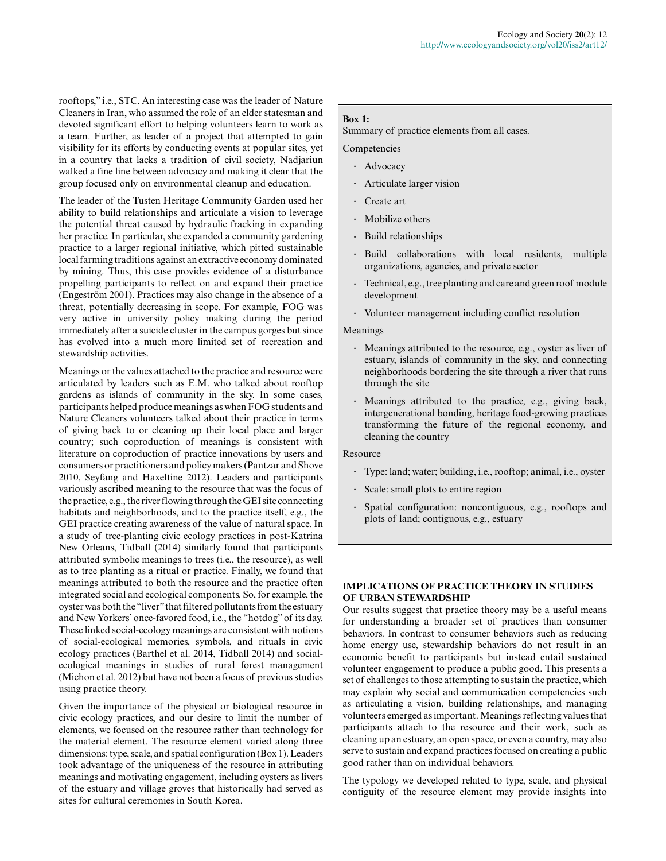rooftops," i.e., STC. An interesting case was the leader of Nature Cleaners in Iran, who assumed the role of an elder statesman and devoted significant effort to helping volunteers learn to work as a team. Further, as leader of a project that attempted to gain visibility for its efforts by conducting events at popular sites, yet in a country that lacks a tradition of civil society, Nadjariun walked a fine line between advocacy and making it clear that the group focused only on environmental cleanup and education.

The leader of the Tusten Heritage Community Garden used her ability to build relationships and articulate a vision to leverage the potential threat caused by hydraulic fracking in expanding her practice. In particular, she expanded a community gardening practice to a larger regional initiative, which pitted sustainable local farming traditions against an extractive economy dominated by mining. Thus, this case provides evidence of a disturbance propelling participants to reflect on and expand their practice (Engeström 2001). Practices may also change in the absence of a threat, potentially decreasing in scope. For example, FOG was very active in university policy making during the period immediately after a suicide cluster in the campus gorges but since has evolved into a much more limited set of recreation and stewardship activities.

Meanings or the values attached to the practice and resource were articulated by leaders such as E.M. who talked about rooftop gardens as islands of community in the sky. In some cases, participants helped produce meanings as when FOG students and Nature Cleaners volunteers talked about their practice in terms of giving back to or cleaning up their local place and larger country; such coproduction of meanings is consistent with literature on coproduction of practice innovations by users and consumers or practitioners and policy makers (Pantzar and Shove 2010, Seyfang and Haxeltine 2012). Leaders and participants variously ascribed meaning to the resource that was the focus of the practice, e.g., the river flowing through the GEI site connecting habitats and neighborhoods, and to the practice itself, e.g., the GEI practice creating awareness of the value of natural space. In a study of tree-planting civic ecology practices in post-Katrina New Orleans, Tidball (2014) similarly found that participants attributed symbolic meanings to trees (i.e., the resource), as well as to tree planting as a ritual or practice. Finally, we found that meanings attributed to both the resource and the practice often integrated social and ecological components. So, for example, the oyster was both the "liver" that filtered pollutants from the estuary and New Yorkers' once-favored food, i.e., the "hotdog" of its day. These linked social-ecology meanings are consistent with notions of social-ecological memories, symbols, and rituals in civic ecology practices (Barthel et al. 2014, Tidball 2014) and socialecological meanings in studies of rural forest management (Michon et al. 2012) but have not been a focus of previous studies using practice theory.

Given the importance of the physical or biological resource in civic ecology practices, and our desire to limit the number of elements, we focused on the resource rather than technology for the material element. The resource element varied along three dimensions: type, scale, and spatial configuration (Box 1). Leaders took advantage of the uniqueness of the resource in attributing meanings and motivating engagement, including oysters as livers of the estuary and village groves that historically had served as sites for cultural ceremonies in South Korea.

# **Box 1:**

Summary of practice elements from all cases.

Competencies

- **.** Advocacy
- **.** Articulate larger vision
- **.** Create art
- **.** Mobilize others
- **.** Build relationships
- **.** Build collaborations with local residents, multiple organizations, agencies, and private sector
- **.** Technical, e.g., tree planting and care and green roof module development
- **.** Volunteer management including conflict resolution

#### Meanings

- **.** Meanings attributed to the resource, e.g., oyster as liver of estuary, islands of community in the sky, and connecting neighborhoods bordering the site through a river that runs through the site
- **.** Meanings attributed to the practice, e.g., giving back, intergenerational bonding, heritage food-growing practices transforming the future of the regional economy, and cleaning the country

Resource

- **.** Type: land; water; building, i.e., rooftop; animal, i.e., oyster
- **.** Scale: small plots to entire region
- **.** Spatial configuration: noncontiguous, e.g., rooftops and plots of land; contiguous, e.g., estuary

# **IMPLICATIONS OF PRACTICE THEORY IN STUDIES OF URBAN STEWARDSHIP**

Our results suggest that practice theory may be a useful means for understanding a broader set of practices than consumer behaviors. In contrast to consumer behaviors such as reducing home energy use, stewardship behaviors do not result in an economic benefit to participants but instead entail sustained volunteer engagement to produce a public good. This presents a set of challenges to those attempting to sustain the practice, which may explain why social and communication competencies such as articulating a vision, building relationships, and managing volunteers emerged as important. Meanings reflecting values that participants attach to the resource and their work, such as cleaning up an estuary, an open space, or even a country, may also serve to sustain and expand practices focused on creating a public good rather than on individual behaviors.

The typology we developed related to type, scale, and physical contiguity of the resource element may provide insights into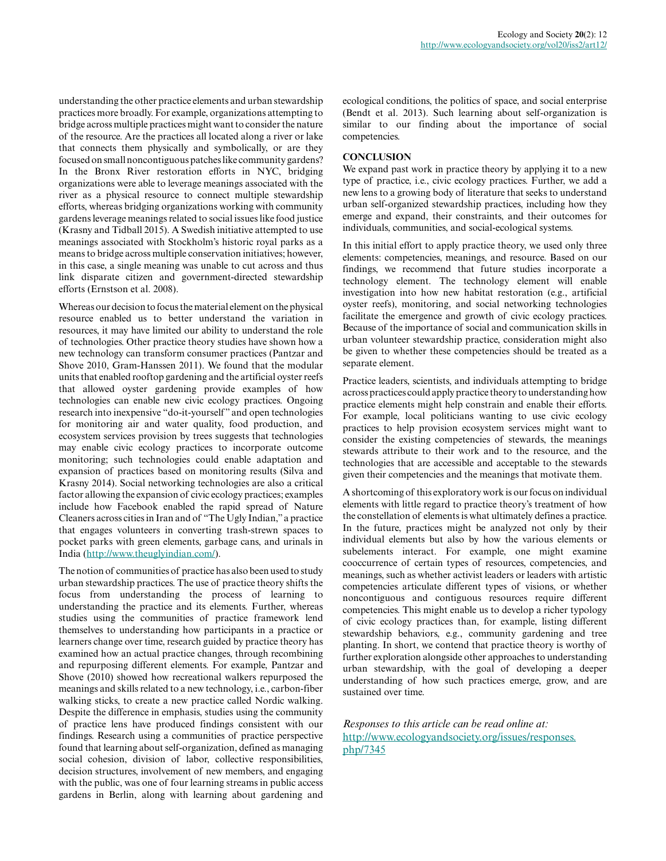understanding the other practice elements and urban stewardship practices more broadly. For example, organizations attempting to bridge across multiple practices might want to consider the nature of the resource. Are the practices all located along a river or lake that connects them physically and symbolically, or are they focused on small noncontiguous patches like community gardens? In the Bronx River restoration efforts in NYC, bridging organizations were able to leverage meanings associated with the river as a physical resource to connect multiple stewardship efforts, whereas bridging organizations working with community gardens leverage meanings related to social issues like food justice (Krasny and Tidball 2015). A Swedish initiative attempted to use meanings associated with Stockholm's historic royal parks as a means to bridge across multiple conservation initiatives; however, in this case, a single meaning was unable to cut across and thus link disparate citizen and government-directed stewardship efforts (Ernstson et al. 2008).

Whereas our decision to focus the material element on the physical resource enabled us to better understand the variation in resources, it may have limited our ability to understand the role of technologies. Other practice theory studies have shown how a new technology can transform consumer practices (Pantzar and Shove 2010, Gram-Hanssen 2011). We found that the modular units that enabled rooftop gardening and the artificial oyster reefs that allowed oyster gardening provide examples of how technologies can enable new civic ecology practices. Ongoing research into inexpensive "do-it-yourself" and open technologies for monitoring air and water quality, food production, and ecosystem services provision by trees suggests that technologies may enable civic ecology practices to incorporate outcome monitoring; such technologies could enable adaptation and expansion of practices based on monitoring results (Silva and Krasny 2014). Social networking technologies are also a critical factor allowing the expansion of civic ecology practices; examples include how Facebook enabled the rapid spread of Nature Cleaners across cities in Iran and of "The Ugly Indian," a practice that engages volunteers in converting trash-strewn spaces to pocket parks with green elements, garbage cans, and urinals in India ([http://www.theuglyindian.com/\)](http://www.theuglyindian.com/).

The notion of communities of practice has also been used to study urban stewardship practices. The use of practice theory shifts the focus from understanding the process of learning to understanding the practice and its elements. Further, whereas studies using the communities of practice framework lend themselves to understanding how participants in a practice or learners change over time, research guided by practice theory has examined how an actual practice changes, through recombining and repurposing different elements. For example, Pantzar and Shove (2010) showed how recreational walkers repurposed the meanings and skills related to a new technology, i.e., carbon-fiber walking sticks, to create a new practice called Nordic walking. Despite the difference in emphasis, studies using the community of practice lens have produced findings consistent with our findings. Research using a communities of practice perspective found that learning about self-organization, defined as managing social cohesion, division of labor, collective responsibilities, decision structures, involvement of new members, and engaging with the public, was one of four learning streams in public access gardens in Berlin, along with learning about gardening and

ecological conditions, the politics of space, and social enterprise (Bendt et al. 2013). Such learning about self-organization is similar to our finding about the importance of social competencies.

# **CONCLUSION**

We expand past work in practice theory by applying it to a new type of practice, i.e., civic ecology practices. Further, we add a new lens to a growing body of literature that seeks to understand urban self-organized stewardship practices, including how they emerge and expand, their constraints, and their outcomes for individuals, communities, and social-ecological systems.

In this initial effort to apply practice theory, we used only three elements: competencies, meanings, and resource. Based on our findings, we recommend that future studies incorporate a technology element. The technology element will enable investigation into how new habitat restoration (e.g., artificial oyster reefs), monitoring, and social networking technologies facilitate the emergence and growth of civic ecology practices. Because of the importance of social and communication skills in urban volunteer stewardship practice, consideration might also be given to whether these competencies should be treated as a separate element.

Practice leaders, scientists, and individuals attempting to bridge across practices could apply practice theory to understanding how practice elements might help constrain and enable their efforts. For example, local politicians wanting to use civic ecology practices to help provision ecosystem services might want to consider the existing competencies of stewards, the meanings stewards attribute to their work and to the resource, and the technologies that are accessible and acceptable to the stewards given their competencies and the meanings that motivate them.

A shortcoming of this exploratory work is our focus on individual elements with little regard to practice theory's treatment of how the constellation of elements is what ultimately defines a practice. In the future, practices might be analyzed not only by their individual elements but also by how the various elements or subelements interact. For example, one might examine cooccurrence of certain types of resources, competencies, and meanings, such as whether activist leaders or leaders with artistic competencies articulate different types of visions, or whether noncontiguous and contiguous resources require different competencies. This might enable us to develop a richer typology of civic ecology practices than, for example, listing different stewardship behaviors, e.g., community gardening and tree planting. In short, we contend that practice theory is worthy of further exploration alongside other approaches to understanding urban stewardship, with the goal of developing a deeper understanding of how such practices emerge, grow, and are sustained over time.

*Responses to this article can be read online at:* [http://www.ecologyandsociety.org/issues/responses.](http://www.ecologyandsociety.org/issues/responses.php/7345) [php/7345](http://www.ecologyandsociety.org/issues/responses.php/7345)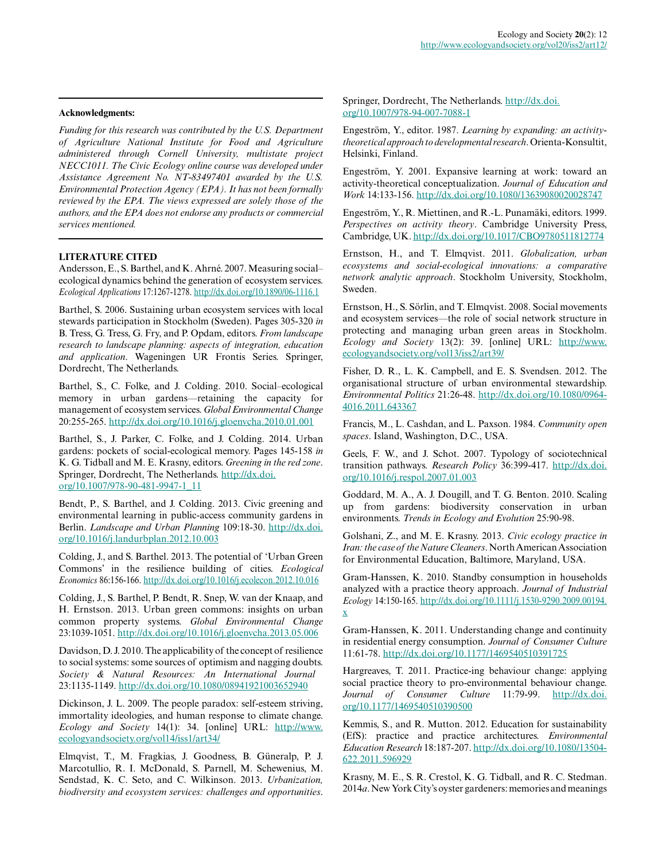#### **Acknowledgments:**

*Funding for this research was contributed by the U.S. Department of Agriculture National Institute for Food and Agriculture administered through Cornell University, multistate project NECC1011. The Civic Ecology online course was developed under Assistance Agreement No. NT-83497401 awarded by the U.S. Environmental Protection Agency (EPA). It has not been formally reviewed by the EPA. The views expressed are solely those of the authors, and the EPA does not endorse any products or commercial services mentioned.*

#### **LITERATURE CITED**

Andersson, E., S. Barthel, and K. Ahrné. 2007. Measuring social– ecological dynamics behind the generation of ecosystem services. *Ecological Applications* 17:1267-1278. [http://dx.doi.org/10.1890/06-1116.1](http://dx.doi.org/10.1890%2F06-1116.1)

Barthel, S. 2006. Sustaining urban ecosystem services with local stewards participation in Stockholm (Sweden). Pages 305-320 *in* B. Tress, G. Tress, G. Fry, and P. Opdam, editors. *From landscape research to landscape planning: aspects of integration, education and application*. Wageningen UR Frontis Series. Springer, Dordrecht, The Netherlands.

Barthel, S., C. Folke, and J. Colding. 2010. Social–ecological memory in urban gardens—retaining the capacity for management of ecosystem services. *Global Environmental Change* 20:255-265. [http://dx.doi.org/10.1016/j.gloenvcha.2010.01.001](http://dx.doi.org/10.1016%2Fj.gloenvcha.2010.01.001)

Barthel, S., J. Parker, C. Folke, and J. Colding. 2014. Urban gardens: pockets of social-ecological memory. Pages 145-158 *in* K. G. Tidball and M. E. Krasny, editors. *Greening in the red zone*. Springer, Dordrecht, The Netherlands. [http://dx.doi.](http://dx.doi.org/10.1007%2F978-90-481-9947-1_11) [org/10.1007/978-90-481-9947-1\\_11](http://dx.doi.org/10.1007%2F978-90-481-9947-1_11)

Bendt, P., S. Barthel, and J. Colding. 2013. Civic greening and environmental learning in public-access community gardens in Berlin. *Landscape and Urban Planning* 109:18-30. [http://dx.doi.](http://dx.doi.org/10.1016%2Fj.landurbplan.2012.10.003) [org/10.1016/j.landurbplan.2012.10.003](http://dx.doi.org/10.1016%2Fj.landurbplan.2012.10.003)

Colding, J., and S. Barthel. 2013. The potential of 'Urban Green Commons' in the resilience building of cities. *Ecological Economics* 86:156-166. [http://dx.doi.org/10.1016/j.ecolecon.2012.10.016](http://dx.doi.org/10.1016%2Fj.ecolecon.2012.10.016)

Colding, J., S. Barthel, P. Bendt, R. Snep, W. van der Knaap, and H. Ernstson. 2013. Urban green commons: insights on urban common property systems. *Global Environmental Change* 23:1039-1051. [http://dx.doi.org/10.1016/j.gloenvcha.2013.05.006](http://dx.doi.org/10.1016%2Fj.gloenvcha.2013.05.006) 

Davidson, D. J. 2010. The applicability of the concept of resilience to social systems: some sources of optimism and nagging doubts. *Society & Natural Resources: An International Journal*  23:1135-1149. [http://dx.doi.org/10.1080/08941921003652940](http://dx.doi.org/10.1080%2F08941921003652940) 

Dickinson, J. L. 2009. The people paradox: self-esteem striving, immortality ideologies, and human response to climate change. *Ecology and Society* 14(1): 34. [online] URL: [http://www.](http://www.ecologyandsociety.org/vol14/iss1/art34/) [ecologyandsociety.org/vol14/iss1/art34/](http://www.ecologyandsociety.org/vol14/iss1/art34/)

Elmqvist, T., M. Fragkias, J. Goodness, B. Güneralp, P. J. Marcotullio, R. I. McDonald, S. Parnell, M. Schewenius, M. Sendstad, K. C. Seto, and C. Wilkinson. 2013. *Urbanization, biodiversity and ecosystem services: challenges and opportunities*. Springer, Dordrecht, The Netherlands. [http://dx.doi.](http://dx.doi.org/10.1007%2F978-94-007-7088-1) [org/10.1007/978-94-007-7088-1](http://dx.doi.org/10.1007%2F978-94-007-7088-1) 

Engeström, Y., editor. 1987. *Learning by expanding: an activitytheoretical approach to developmental research*. Orienta-Konsultit, Helsinki, Finland.

Engeström, Y. 2001. Expansive learning at work: toward an activity-theoretical conceptualization. *Journal of Education and Work* 14:133-156. [http://dx.doi.org/10.1080/13639080020028747](http://dx.doi.org/10.1080%2F13639080020028747) 

Engeström, Y., R. Miettinen, and R.-L. Punamäki, editors. 1999. *Perspectives on activity theory*. Cambridge University Press, Cambridge, UK. [http://dx.doi.org/10.1017/CBO9780511812774](http://dx.doi.org/10.1017%2FCBO9780511812774)

Ernstson, H., and T. Elmqvist. 2011. *Globalization, urban ecosystems and social-ecological innovations: a comparative network analytic approach*. Stockholm University, Stockholm, Sweden.

Ernstson, H., S. Sörlin, and T. Elmqvist. 2008. Social movements and ecosystem services—the role of social network structure in protecting and managing urban green areas in Stockholm. *Ecology and Society* 13(2): 39. [online] URL: [http://www.](http://www.ecologyandsociety.org/vol13/iss2/art39/) [ecologyandsociety.org/vol13/iss2/art39/](http://www.ecologyandsociety.org/vol13/iss2/art39/)

Fisher, D. R., L. K. Campbell, and E. S. Svendsen. 2012. The organisational structure of urban environmental stewardship. *Environmental Politics* 21:26-48. [http://dx.doi.org/10.1080/0964](http://dx.doi.org/10.1080%2F09644016.2011.643367) [4016.2011.643367](http://dx.doi.org/10.1080%2F09644016.2011.643367) 

Francis, M., L. Cashdan, and L. Paxson. 1984. *Community open spaces*. Island, Washington, D.C., USA.

Geels, F. W., and J. Schot. 2007. Typology of sociotechnical transition pathways. *Research Policy* 36:399-417. [http://dx.doi.](http://dx.doi.org/10.1016%2Fj.respol.2007.01.003) [org/10.1016/j.respol.2007.01.003](http://dx.doi.org/10.1016%2Fj.respol.2007.01.003)

Goddard, M. A., A. J. Dougill, and T. G. Benton. 2010. Scaling up from gardens: biodiversity conservation in urban environments. *Trends in Ecology and Evolution* 25:90-98.

Golshani, Z., and M. E. Krasny. 2013. *Civic ecology practice in Iran: the case of the Nature Cleaners*. North American Association for Environmental Education, Baltimore, Maryland, USA.

Gram-Hanssen, K. 2010. Standby consumption in households analyzed with a practice theory approach. *Journal of Industrial Ecology* 14:150-165. [http://dx.doi.org/10.1111/j.1530-9290.2009.00194.](http://dx.doi.org/10.1111%2Fj.1530-9290.2009.00194.x) [x](http://dx.doi.org/10.1111%2Fj.1530-9290.2009.00194.x) 

Gram-Hanssen, K. 2011. Understanding change and continuity in residential energy consumption. *Journal of Consumer Culture* 11:61-78. [http://dx.doi.org/10.1177/1469540510391725](http://dx.doi.org/10.1177%2F1469540510391725)

Hargreaves, T. 2011. Practice-ing behaviour change: applying social practice theory to pro-environmental behaviour change. *Journal of Consumer Culture* 11:79-99. [http://dx.doi.](http://dx.doi.org/10.1177%2F1469540510390500) [org/10.1177/1469540510390500](http://dx.doi.org/10.1177%2F1469540510390500)

Kemmis, S., and R. Mutton. 2012. Education for sustainability (EfS): practice and practice architectures. *Environmental Education Research* 18:187-207. [http://dx.doi.org/10.1080/13504](http://dx.doi.org/10.1080%2F13504622.2011.596929) [622.2011.596929](http://dx.doi.org/10.1080%2F13504622.2011.596929)

Krasny, M. E., S. R. Crestol, K. G. Tidball, and R. C. Stedman. 2014*a*. New York City's oyster gardeners: memories and meanings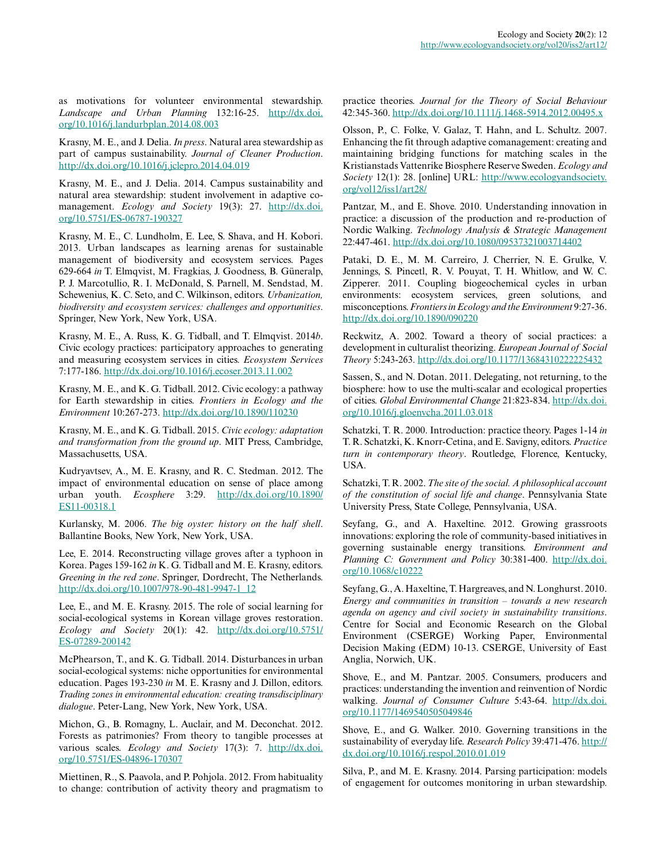as motivations for volunteer environmental stewardship. *Landscape and Urban Planning* 132:16-25. [http://dx.doi.](http://dx.doi.org/10.1016%2Fj.landurbplan.2014.08.003) [org/10.1016/j.landurbplan.2014.08.003](http://dx.doi.org/10.1016%2Fj.landurbplan.2014.08.003)

Krasny, M. E., and J. Delia. *In press*. Natural area stewardship as part of campus sustainability. *Journal of Cleaner Production*. [http://dx.doi.org/10.1016/j.jclepro.2014.04.019](http://dx.doi.org/10.1016%2Fj.jclepro.2014.04.019)

Krasny, M. E., and J. Delia. 2014. Campus sustainability and natural area stewardship: student involvement in adaptive comanagement. *Ecology and Society* 19(3): 27. [http://dx.doi.](http://dx.doi.org/10.5751%2FES-06787-190327) [org/10.5751/ES-06787-190327](http://dx.doi.org/10.5751%2FES-06787-190327) 

Krasny, M. E., C. Lundholm, E. Lee, S. Shava, and H. Kobori. 2013. Urban landscapes as learning arenas for sustainable management of biodiversity and ecosystem services. Pages 629-664 *in* T. Elmqvist, M. Fragkias, J. Goodness, B. Güneralp, P. J. Marcotullio, R. I. McDonald, S. Parnell, M. Sendstad, M. Schewenius, K. C. Seto, and C. Wilkinson, editors. *Urbanization, biodiversity and ecosystem services: challenges and opportunities*. Springer, New York, New York, USA.

Krasny, M. E., A. Russ, K. G. Tidball, and T. Elmqvist. 2014*b*. Civic ecology practices: participatory approaches to generating and measuring ecosystem services in cities. *Ecosystem Services* 7:177-186. [http://dx.doi.org/10.1016/j.ecoser.2013.11.002](http://dx.doi.org/10.1016%2Fj.ecoser.2013.11.002) 

Krasny, M. E., and K. G. Tidball. 2012. Civic ecology: a pathway for Earth stewardship in cities. *Frontiers in Ecology and the Environment* 10:267-273. [http://dx.doi.org/10.1890/110230](http://dx.doi.org/10.1890%2F110230) 

Krasny, M. E., and K. G. Tidball. 2015. *Civic ecology: adaptation and transformation from the ground up*. MIT Press, Cambridge, Massachusetts, USA.

Kudryavtsev, A., M. E. Krasny, and R. C. Stedman. 2012. The impact of environmental education on sense of place among urban youth. *Ecosphere* 3:29. [http://dx.doi.org/10.1890/](http://dx.doi.org/10.1890%2FES11-00318.1) [ES11-00318.1](http://dx.doi.org/10.1890%2FES11-00318.1)

Kurlansky, M. 2006. *The big oyster: history on the half shell*. Ballantine Books, New York, New York, USA.

Lee, E. 2014. Reconstructing village groves after a typhoon in Korea. Pages 159-162 *in* K. G. Tidball and M. E. Krasny, editors. *Greening in the red zone*. Springer, Dordrecht, The Netherlands. [http://dx.doi.org/10.1007/978-90-481-9947-1\\_12](http://dx.doi.org/10.1007%2F978-90-481-9947-1_12)

Lee, E., and M. E. Krasny. 2015. The role of social learning for social-ecological systems in Korean village groves restoration. *Ecology and Society* 20(1): 42. [http://dx.doi.org/10.5751/](http://dx.doi.org/10.5751/ES-07289-200142) [ES-07289-200142](http://dx.doi.org/10.5751/ES-07289-200142)

McPhearson, T., and K. G. Tidball. 2014. Disturbances in urban social-ecological systems: niche opportunities for environmental education. Pages 193-230 *in* M. E. Krasny and J. Dillon, editors. *Trading zones in environmental education: creating transdisciplinary dialogue*. Peter-Lang, New York, New York, USA.

Michon, G., B. Romagny, L. Auclair, and M. Deconchat. 2012. Forests as patrimonies? From theory to tangible processes at various scales. *Ecology and Society* 17(3): 7. [http://dx.doi.](http://dx.doi.org/10.5751%2FES-04896-170307) [org/10.5751/ES-04896-170307](http://dx.doi.org/10.5751%2FES-04896-170307) 

Miettinen, R., S. Paavola, and P. Pohjola. 2012. From habituality to change: contribution of activity theory and pragmatism to practice theories. *Journal for the Theory of Social Behaviour* 42:345-360. [http://dx.doi.org/10.1111/j.1468-5914.2012.00495.x](http://dx.doi.org/10.1111%2Fj.1468-5914.2012.00495.x)

Olsson, P., C. Folke, V. Galaz, T. Hahn, and L. Schultz. 2007. Enhancing the fit through adaptive comanagement: creating and maintaining bridging functions for matching scales in the Kristianstads Vattenrike Biosphere Reserve Sweden. *Ecology and Society* 12(1): 28. [online] URL: [http://www.ecologyandsociety.](http://www.ecologyandsociety.org/vol12/iss1/art28/) [org/vol12/iss1/art28/](http://www.ecologyandsociety.org/vol12/iss1/art28/)

Pantzar, M., and E. Shove. 2010. Understanding innovation in practice: a discussion of the production and re-production of Nordic Walking. *Technology Analysis & Strategic Management* 22:447-461. [http://dx.doi.org/10.1080/09537321003714402](http://dx.doi.org/10.1080%2F09537321003714402) 

Pataki, D. E., M. M. Carreiro, J. Cherrier, N. E. Grulke, V. Jennings, S. Pincetl, R. V. Pouyat, T. H. Whitlow, and W. C. Zipperer. 2011. Coupling biogeochemical cycles in urban environments: ecosystem services, green solutions, and misconceptions. *Frontiers in Ecology and the Environment* 9:27-36. [http://dx.doi.org/10.1890/090220](http://dx.doi.org/10.1890%2F090220)

Reckwitz, A. 2002. Toward a theory of social practices: a development in culturalist theorizing. *European Journal of Social Theory* 5:243-263. [http://dx.doi.org/10.1177/13684310222225432](http://dx.doi.org/10.1177%2F13684310222225432) 

Sassen, S., and N. Dotan. 2011. Delegating, not returning, to the biosphere: how to use the multi-scalar and ecological properties of cities. *Global Environmental Change* 21:823-834. [http://dx.doi.](http://dx.doi.org/10.1016%2Fj.gloenvcha.2011.03.018) [org/10.1016/j.gloenvcha.2011.03.018](http://dx.doi.org/10.1016%2Fj.gloenvcha.2011.03.018)

Schatzki, T. R. 2000. Introduction: practice theory. Pages 1-14 *in* T. R. Schatzki, K. Knorr-Cetina, and E. Savigny, editors. *Practice turn in contemporary theory*. Routledge, Florence, Kentucky, USA.

Schatzki, T. R. 2002. *The site of the social. A philosophical account of the constitution of social life and change*. Pennsylvania State University Press, State College, Pennsylvania, USA.

Seyfang, G., and A. Haxeltine. 2012. Growing grassroots innovations: exploring the role of community-based initiatives in governing sustainable energy transitions. *Environment and Planning C: Government and Policy* 30:381-400. [http://dx.doi.](http://dx.doi.org/10.1068%2Fc10222) [org/10.1068/c10222](http://dx.doi.org/10.1068%2Fc10222) 

Seyfang, G., A. Haxeltine, T. Hargreaves, and N. Longhurst. 2010. *Energy and communities in transition – towards a new research agenda on agency and civil society in sustainability transitions*. Centre for Social and Economic Research on the Global Environment (CSERGE) Working Paper, Environmental Decision Making (EDM) 10-13. CSERGE, University of East Anglia, Norwich, UK.

Shove, E., and M. Pantzar. 2005. Consumers, producers and practices: understanding the invention and reinvention of Nordic walking. *Journal of Consumer Culture* 5:43-64. [http://dx.doi.](http://dx.doi.org/10.1177%2F1469540505049846) [org/10.1177/1469540505049846](http://dx.doi.org/10.1177%2F1469540505049846)

Shove, E., and G. Walker. 2010. Governing transitions in the sustainability of everyday life. *Research Policy* 39:471-476. [http://](http://dx.doi.org/10.1016%2Fj.respol.2010.01.019) [dx.doi.org/10.1016/j.respol.2010.01.019](http://dx.doi.org/10.1016%2Fj.respol.2010.01.019) 

Silva, P., and M. E. Krasny. 2014. Parsing participation: models of engagement for outcomes monitoring in urban stewardship.